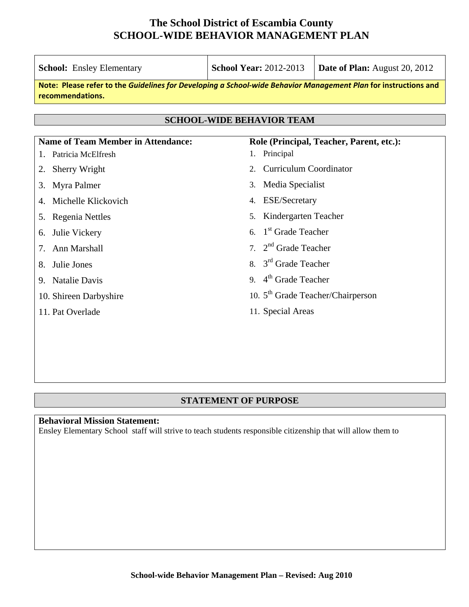| <b>School:</b> Ensley Elementary                                                                                                    | <b>School Year: 2012-2013</b>         | Date of Plan: August 20, 2012 |  |  |  |  |  |
|-------------------------------------------------------------------------------------------------------------------------------------|---------------------------------------|-------------------------------|--|--|--|--|--|
| Note: Please refer to the Guidelines for Developing a School-wide Behavior Management Plan for instructions and<br>recommendations. |                                       |                               |  |  |  |  |  |
| <b>SCHOOL-WIDE BEHAVIOR TEAM</b>                                                                                                    |                                       |                               |  |  |  |  |  |
| <b>Name of Team Member in Attendance:</b><br>Role (Principal, Teacher, Parent, etc.):                                               |                                       |                               |  |  |  |  |  |
| Patricia McElfresh                                                                                                                  | Principal<br>1.                       |                               |  |  |  |  |  |
| Sherry Wright<br>2.                                                                                                                 | <b>Curriculum Coordinator</b><br>2.   |                               |  |  |  |  |  |
| Myra Palmer<br>3.                                                                                                                   | Media Specialist<br>3.                |                               |  |  |  |  |  |
| Michelle Klickovich                                                                                                                 | <b>ESE/Secretary</b><br>4.            |                               |  |  |  |  |  |
| Regenia Nettles<br>5.                                                                                                               | Kindergarten Teacher<br>5.            |                               |  |  |  |  |  |
| Julie Vickery<br>6.                                                                                                                 | 1 <sup>st</sup> Grade Teacher<br>6.   |                               |  |  |  |  |  |
| Ann Marshall                                                                                                                        | $2nd$ Grade Teacher<br>7 <sup>1</sup> |                               |  |  |  |  |  |
| Julie Jones<br>8.                                                                                                                   | $3rd$ Grade Teacher<br>8.             |                               |  |  |  |  |  |
| <b>Natalie Davis</b><br>9.                                                                                                          | 9. $4th$ Grade Teacher                |                               |  |  |  |  |  |
| 10. Shireen Darbyshire                                                                                                              | 10. $5th$ Grade Teacher/Chairperson   |                               |  |  |  |  |  |
| 11. Pat Overlade                                                                                                                    | 11. Special Areas                     |                               |  |  |  |  |  |
|                                                                                                                                     |                                       |                               |  |  |  |  |  |
|                                                                                                                                     |                                       |                               |  |  |  |  |  |

#### **STATEMENT OF PURPOSE**

### **Behavioral Mission Statement:**

Ensley Elementary School staff will strive to teach students responsible citizenship that will allow them to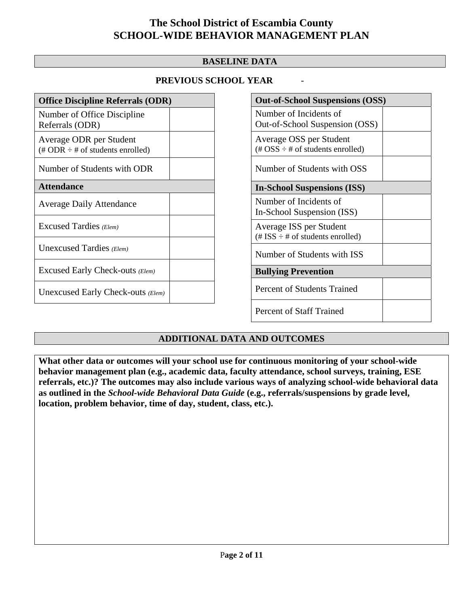#### **BASELINE DATA**

#### **PREVIOUS SCHOOL YEAR** -

| <b>Office Discipline Referrals (ODR)</b>                                         |  |  |  |  |
|----------------------------------------------------------------------------------|--|--|--|--|
| Number of Office Discipline<br>Referrals (ODR)                                   |  |  |  |  |
| Average ODR per Student<br>$(\text{\# ODR} \div \text{\# of students enrolled})$ |  |  |  |  |
| Number of Students with ODR                                                      |  |  |  |  |
| <b>Attendance</b>                                                                |  |  |  |  |
| <b>Average Daily Attendance</b>                                                  |  |  |  |  |
| Excused Tardies (Elem)                                                           |  |  |  |  |
| Unexcused Tardies (Elem)                                                         |  |  |  |  |
| Excused Early Check-outs (Elem)                                                  |  |  |  |  |
| Unexcused Early Check-outs (Elem)                                                |  |  |  |  |

| <b>Out-of-School Suspensions (OSS)</b>                                                          |  |  |  |  |  |
|-------------------------------------------------------------------------------------------------|--|--|--|--|--|
| Number of Incidents of<br>Out-of-School Suspension (OSS)                                        |  |  |  |  |  |
| Average OSS per Student<br>$(\text{\#} \text{OSS} \div \text{\#} \text{ of students enrolled})$ |  |  |  |  |  |
| Number of Students with OSS                                                                     |  |  |  |  |  |
| <b>In-School Suspensions (ISS)</b>                                                              |  |  |  |  |  |
| Number of Incidents of<br>In-School Suspension (ISS)                                            |  |  |  |  |  |
| Average ISS per Student<br>$(\# ISS \div \# of students enrolled)$                              |  |  |  |  |  |
| Number of Students with ISS                                                                     |  |  |  |  |  |
| <b>Bullying Prevention</b>                                                                      |  |  |  |  |  |
| <b>Percent of Students Trained</b>                                                              |  |  |  |  |  |
| <b>Percent of Staff Trained</b>                                                                 |  |  |  |  |  |

#### **ADDITIONAL DATA AND OUTCOMES**

**What other data or outcomes will your school use for continuous monitoring of your school-wide behavior management plan (e.g., academic data, faculty attendance, school surveys, training, ESE referrals, etc.)? The outcomes may also include various ways of analyzing school-wide behavioral data as outlined in the** *School-wide Behavioral Data Guide* **(e.g., referrals/suspensions by grade level, location, problem behavior, time of day, student, class, etc.).**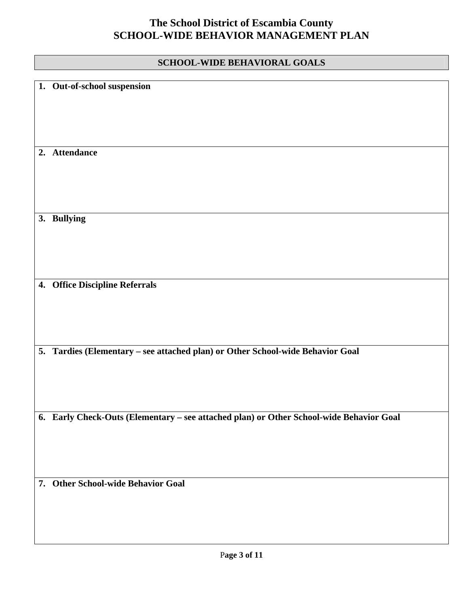### **SCHOOL-WIDE BEHAVIORAL GOALS**

| 1. Out-of-school suspension                                                             |
|-----------------------------------------------------------------------------------------|
| 2. Attendance                                                                           |
| 3. Bullying                                                                             |
| 4. Office Discipline Referrals                                                          |
| 5. Tardies (Elementary - see attached plan) or Other School-wide Behavior Goal          |
| 6. Early Check-Outs (Elementary - see attached plan) or Other School-wide Behavior Goal |
| 7. Other School-wide Behavior Goal                                                      |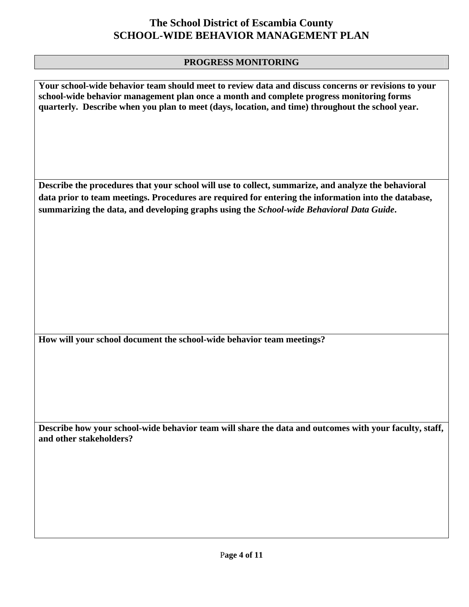#### **PROGRESS MONITORING**

**Your school-wide behavior team should meet to review data and discuss concerns or revisions to your school-wide behavior management plan once a month and complete progress monitoring forms quarterly. Describe when you plan to meet (days, location, and time) throughout the school year.** 

**Describe the procedures that your school will use to collect, summarize, and analyze the behavioral data prior to team meetings. Procedures are required for entering the information into the database, summarizing the data, and developing graphs using the** *School-wide Behavioral Data Guide***.** 

**How will your school document the school-wide behavior team meetings?**

**Describe how your school-wide behavior team will share the data and outcomes with your faculty, staff, and other stakeholders?**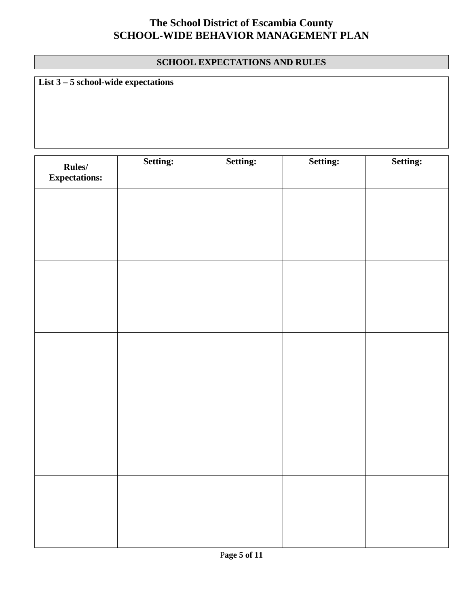#### **SCHOOL EXPECTATIONS AND RULES**

**List 3 – 5 school-wide expectations**

| Rules/<br><b>Expectations:</b> | Setting: | Setting: | Setting: | Setting: |
|--------------------------------|----------|----------|----------|----------|
|                                |          |          |          |          |
|                                |          |          |          |          |
|                                |          |          |          |          |
|                                |          |          |          |          |
|                                |          |          |          |          |
|                                |          |          |          |          |
|                                |          |          |          |          |
|                                |          |          |          |          |
|                                |          |          |          |          |
|                                |          |          |          |          |
|                                |          |          |          |          |
|                                |          |          |          |          |
|                                |          |          |          |          |
|                                |          |          |          |          |
|                                |          |          |          |          |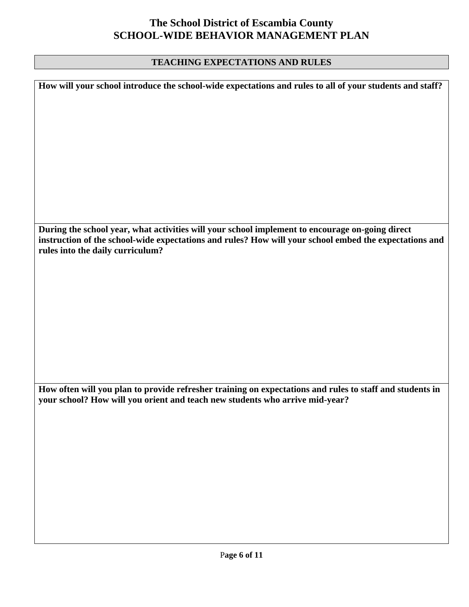#### **TEACHING EXPECTATIONS AND RULES**

**How will your school introduce the school-wide expectations and rules to all of your students and staff? During the school year, what activities will your school implement to encourage on-going direct instruction of the school-wide expectations and rules? How will your school embed the expectations and rules into the daily curriculum? How often will you plan to provide refresher training on expectations and rules to staff and students in your school? How will you orient and teach new students who arrive mid-year?**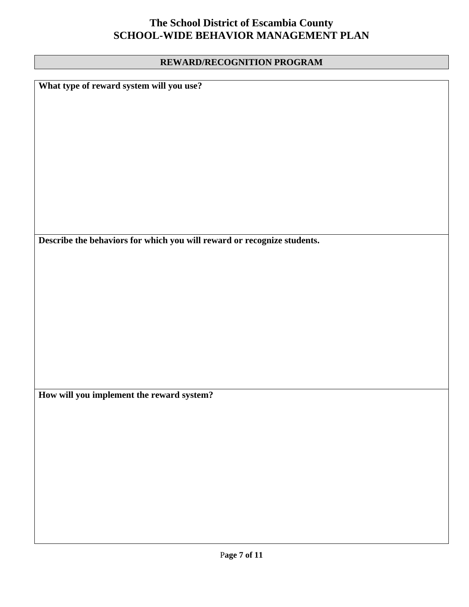#### **REWARD/RECOGNITION PROGRAM**

**What type of reward system will you use?** 

**Describe the behaviors for which you will reward or recognize students.** 

**How will you implement the reward system?**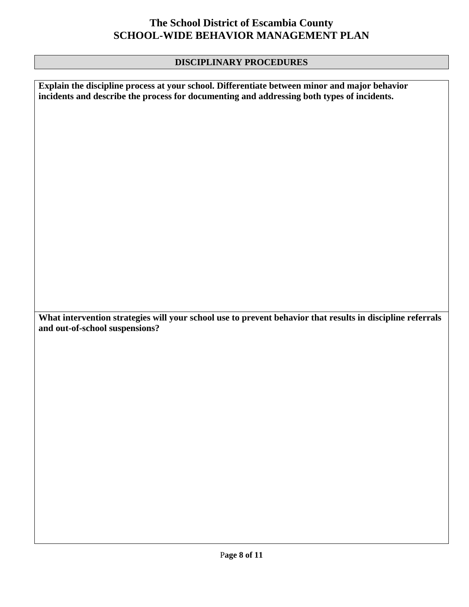### **DISCIPLINARY PROCEDURES**

**Explain the discipline process at your school. Differentiate between minor and major behavior incidents and describe the process for documenting and addressing both types of incidents. What intervention strategies will your school use to prevent behavior that results in discipline referrals and out-of-school suspensions?**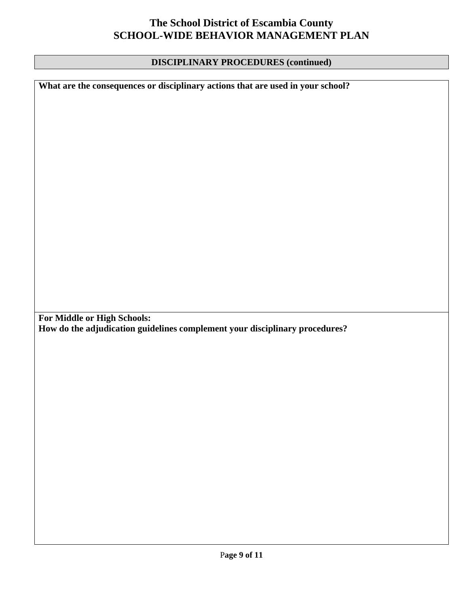#### **DISCIPLINARY PROCEDURES (continued)**

**What are the consequences or disciplinary actions that are used in your school?** 

**For Middle or High Schools: How do the adjudication guidelines complement your disciplinary procedures?**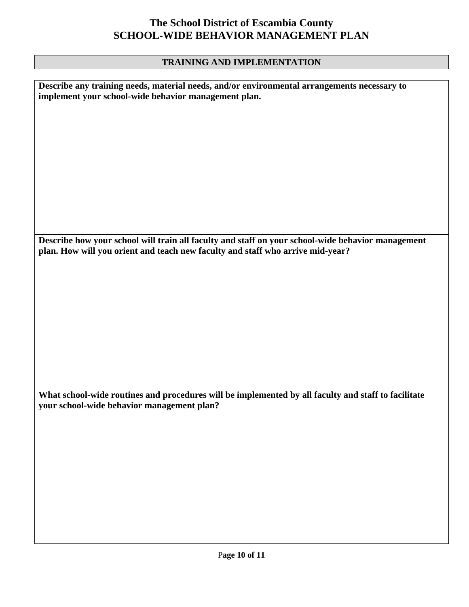#### **TRAINING AND IMPLEMENTATION**

**Describe any training needs, material needs, and/or environmental arrangements necessary to implement your school-wide behavior management plan.** 

**Describe how your school will train all faculty and staff on your school-wide behavior management plan. How will you orient and teach new faculty and staff who arrive mid-year?** 

**What school-wide routines and procedures will be implemented by all faculty and staff to facilitate your school-wide behavior management plan?**